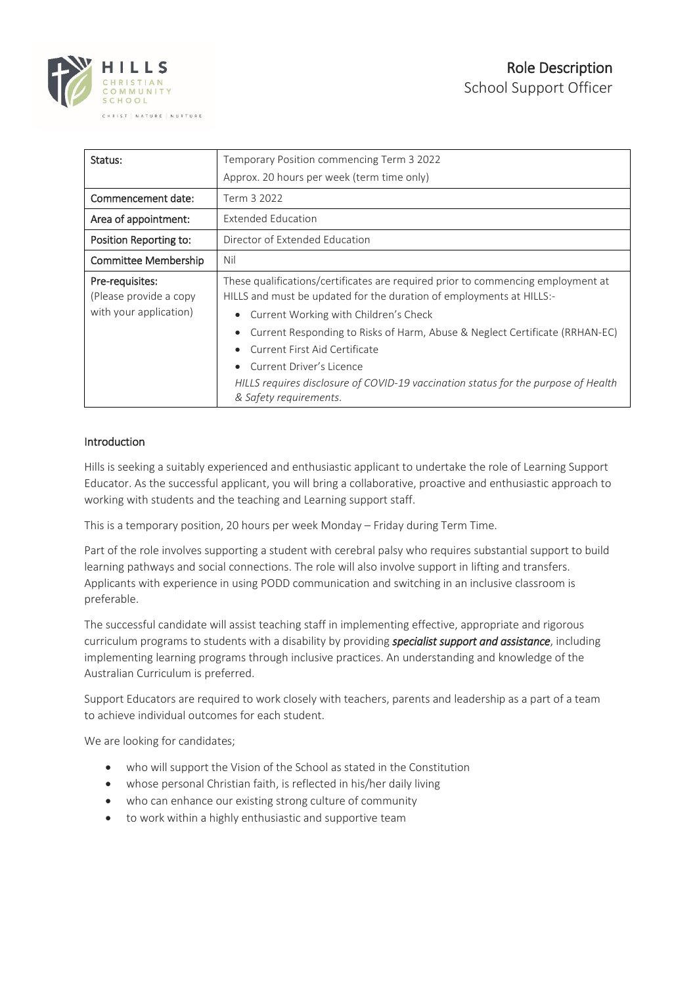

| Status:                                                             | Temporary Position commencing Term 3 2022                                                                                                                                                                                                                                                                                                                                                                                                                     |
|---------------------------------------------------------------------|---------------------------------------------------------------------------------------------------------------------------------------------------------------------------------------------------------------------------------------------------------------------------------------------------------------------------------------------------------------------------------------------------------------------------------------------------------------|
|                                                                     | Approx. 20 hours per week (term time only)                                                                                                                                                                                                                                                                                                                                                                                                                    |
| Commencement date:                                                  | Term 3 2022                                                                                                                                                                                                                                                                                                                                                                                                                                                   |
| Area of appointment:                                                | Extended Education                                                                                                                                                                                                                                                                                                                                                                                                                                            |
| Position Reporting to:                                              | Director of Extended Education                                                                                                                                                                                                                                                                                                                                                                                                                                |
| Committee Membership                                                | Nil                                                                                                                                                                                                                                                                                                                                                                                                                                                           |
| Pre-requisites:<br>(Please provide a copy<br>with your application) | These qualifications/certificates are required prior to commencing employment at<br>HILLS and must be updated for the duration of employments at HILLS:-<br>Current Working with Children's Check<br>Current Responding to Risks of Harm, Abuse & Neglect Certificate (RRHAN-EC)<br>Current First Aid Certificate<br>Current Driver's Licence<br>HILLS requires disclosure of COVID-19 vaccination status for the purpose of Health<br>& Safety requirements. |

## Introduction

Hills is seeking a suitably experienced and enthusiastic applicant to undertake the role of Learning Support Educator. As the successful applicant, you will bring a collaborative, proactive and enthusiastic approach to working with students and the teaching and Learning support staff.

This is a temporary position, 20 hours per week Monday – Friday during Term Time.

Part of the role involves supporting a student with cerebral palsy who requires substantial support to build learning pathways and social connections. The role will also involve support in lifting and transfers. Applicants with experience in using PODD communication and switching in an inclusive classroom is preferable.

The successful candidate will assist teaching staff in implementing effective, appropriate and rigorous curriculum programs to students with a disability by providing *specialist support and assistance*, including implementing learning programs through inclusive practices. An understanding and knowledge of the Australian Curriculum is preferred.

Support Educators are required to work closely with teachers, parents and leadership as a part of a team to achieve individual outcomes for each student.

We are looking for candidates;

- who will support the Vision of the School as stated in the Constitution
- whose personal Christian faith, is reflected in his/her daily living
- who can enhance our existing strong culture of community
- to work within a highly enthusiastic and supportive team